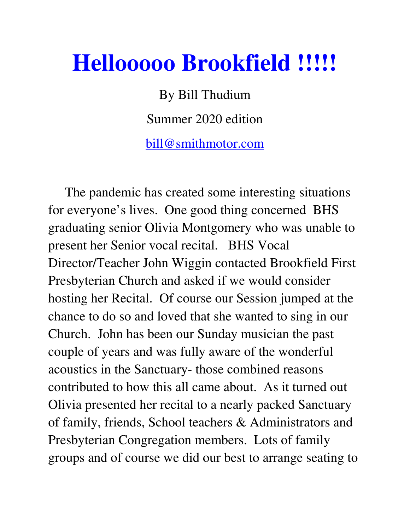## **Hellooooo Brookfield !!!!!**

By Bill Thudium Summer 2020 edition bill@smithmotor.com

 The pandemic has created some interesting situations for everyone's lives. One good thing concerned BHS graduating senior Olivia Montgomery who was unable to present her Senior vocal recital. BHS Vocal Director/Teacher John Wiggin contacted Brookfield First Presbyterian Church and asked if we would consider hosting her Recital. Of course our Session jumped at the chance to do so and loved that she wanted to sing in our Church. John has been our Sunday musician the past couple of years and was fully aware of the wonderful acoustics in the Sanctuary- those combined reasons contributed to how this all came about. As it turned out Olivia presented her recital to a nearly packed Sanctuary of family, friends, School teachers & Administrators and Presbyterian Congregation members. Lots of family groups and of course we did our best to arrange seating to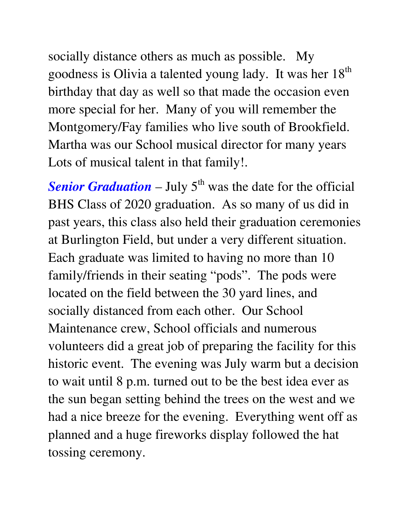socially distance others as much as possible. My goodness is Olivia a talented young lady. It was her  $18<sup>th</sup>$ birthday that day as well so that made the occasion even more special for her. Many of you will remember the Montgomery/Fay families who live south of Brookfield. Martha was our School musical director for many years Lots of musical talent in that family!.

**Senior Graduation** – July  $5<sup>th</sup>$  was the date for the official BHS Class of 2020 graduation. As so many of us did in past years, this class also held their graduation ceremonies at Burlington Field, but under a very different situation. Each graduate was limited to having no more than 10 family/friends in their seating "pods". The pods were located on the field between the 30 yard lines, and socially distanced from each other. Our School Maintenance crew, School officials and numerous volunteers did a great job of preparing the facility for this historic event. The evening was July warm but a decision to wait until 8 p.m. turned out to be the best idea ever as the sun began setting behind the trees on the west and we had a nice breeze for the evening. Everything went off as planned and a huge fireworks display followed the hat tossing ceremony.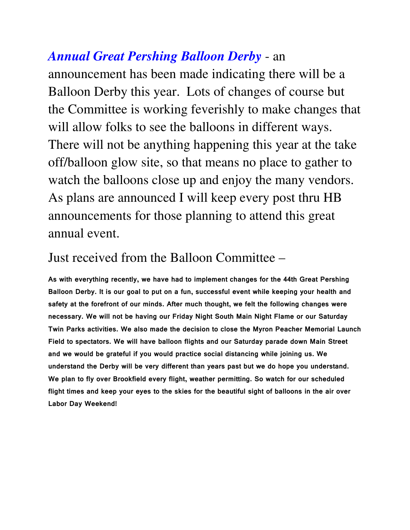## *Annual Great Pershing Balloon Derby* - an

announcement has been made indicating there will be a Balloon Derby this year. Lots of changes of course but the Committee is working feverishly to make changes that will allow folks to see the balloons in different ways. There will not be anything happening this year at the take off/balloon glow site, so that means no place to gather to watch the balloons close up and enjoy the many vendors. As plans are announced I will keep every post thru HB announcements for those planning to attend this great annual event.

## Just received from the Balloon Committee –

**As with everything recently, we have had to implement changes for the 44th Great Pershing Balloon Derby. It is our goal to put on a fun, successful event while keeping your health and safety at the forefront of our minds. After much thought, we felt the following changes were necessary. We will not be having our Friday Night South Main Night Flame or our Saturday Twin Parks activities. We also made the decision to close the Myron Peacher Memorial Launch Field to spectators. We will have balloon flights and our Saturday parade down Main Street and we would be grateful if you would practice social distancing while joining us. We understand the Derby will be very different than years past but we do hope you understand. We plan to fly over Brookfield every flight, weather permitting. So watch for our scheduled flight times and keep your eyes to the skies for the beautiful sight of balloons in the air over Labor Day Weekend!**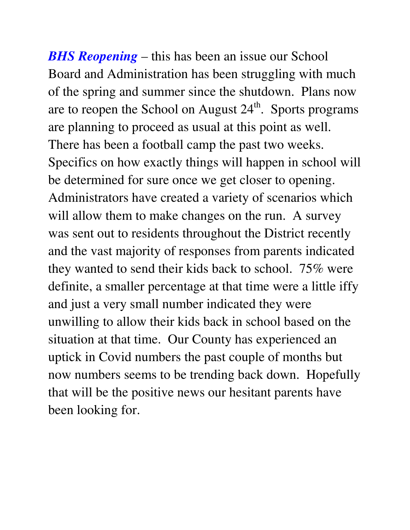*BHS Reopening* – this has been an issue our School Board and Administration has been struggling with much of the spring and summer since the shutdown. Plans now are to reopen the School on August  $24<sup>th</sup>$ . Sports programs are planning to proceed as usual at this point as well. There has been a football camp the past two weeks. Specifics on how exactly things will happen in school will be determined for sure once we get closer to opening. Administrators have created a variety of scenarios which will allow them to make changes on the run. A survey was sent out to residents throughout the District recently and the vast majority of responses from parents indicated they wanted to send their kids back to school. 75% were definite, a smaller percentage at that time were a little iffy and just a very small number indicated they were unwilling to allow their kids back in school based on the situation at that time. Our County has experienced an uptick in Covid numbers the past couple of months but now numbers seems to be trending back down. Hopefully that will be the positive news our hesitant parents have been looking for.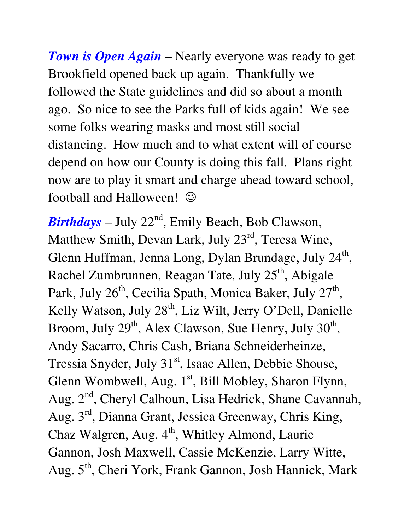*Town is Open Again* – Nearly everyone was ready to get Brookfield opened back up again. Thankfully we followed the State guidelines and did so about a month ago. So nice to see the Parks full of kids again! We see some folks wearing masks and most still social distancing. How much and to what extent will of course depend on how our County is doing this fall. Plans right now are to play it smart and charge ahead toward school, football and Halloween!  $\odot$ 

*Birthdays* – July  $22<sup>nd</sup>$ , Emily Beach, Bob Clawson, Matthew Smith, Devan Lark, July 23<sup>rd</sup>, Teresa Wine, Glenn Huffman, Jenna Long, Dylan Brundage, July 24<sup>th</sup>, Rachel Zumbrunnen, Reagan Tate, July 25<sup>th</sup>, Abigale Park, July 26<sup>th</sup>, Cecilia Spath, Monica Baker, July 27<sup>th</sup>, Kelly Watson, July 28<sup>th</sup>, Liz Wilt, Jerry O'Dell, Danielle Broom, July 29<sup>th</sup>, Alex Clawson, Sue Henry, July 30<sup>th</sup>, Andy Sacarro, Chris Cash, Briana Schneiderheinze, Tressia Snyder, July 31<sup>st</sup>, Isaac Allen, Debbie Shouse, Glenn Wombwell, Aug.  $1<sup>st</sup>$ , Bill Mobley, Sharon Flynn, Aug. 2<sup>nd</sup>, Cheryl Calhoun, Lisa Hedrick, Shane Cavannah, Aug. 3rd, Dianna Grant, Jessica Greenway, Chris King, Chaz Walgren, Aug.  $4<sup>th</sup>$ , Whitley Almond, Laurie Gannon, Josh Maxwell, Cassie McKenzie, Larry Witte, Aug. 5<sup>th</sup>, Cheri York, Frank Gannon, Josh Hannick, Mark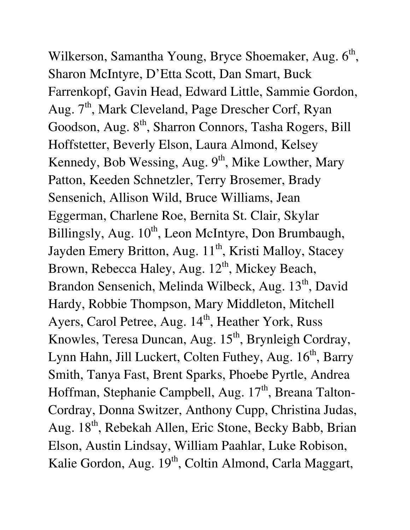Wilkerson, Samantha Young, Bryce Shoemaker, Aug. 6<sup>th</sup>, Sharon McIntyre, D'Etta Scott, Dan Smart, Buck Farrenkopf, Gavin Head, Edward Little, Sammie Gordon, Aug. 7<sup>th</sup>, Mark Cleveland, Page Drescher Corf, Ryan Goodson, Aug. 8<sup>th</sup>, Sharron Connors, Tasha Rogers, Bill Hoffstetter, Beverly Elson, Laura Almond, Kelsey Kennedy, Bob Wessing, Aug. 9<sup>th</sup>, Mike Lowther, Mary Patton, Keeden Schnetzler, Terry Brosemer, Brady Sensenich, Allison Wild, Bruce Williams, Jean Eggerman, Charlene Roe, Bernita St. Clair, Skylar Billingsly, Aug. 10<sup>th</sup>, Leon McIntyre, Don Brumbaugh, Jayden Emery Britton, Aug. 11<sup>th</sup>, Kristi Malloy, Stacey Brown, Rebecca Haley, Aug. 12<sup>th</sup>, Mickey Beach, Brandon Sensenich, Melinda Wilbeck, Aug. 13<sup>th</sup>, David Hardy, Robbie Thompson, Mary Middleton, Mitchell Ayers, Carol Petree, Aug. 14<sup>th</sup>, Heather York, Russ Knowles, Teresa Duncan, Aug. 15<sup>th</sup>, Brynleigh Cordray, Lynn Hahn, Jill Luckert, Colten Futhey, Aug. 16<sup>th</sup>, Barry Smith, Tanya Fast, Brent Sparks, Phoebe Pyrtle, Andrea Hoffman, Stephanie Campbell, Aug. 17<sup>th</sup>, Breana Talton-Cordray, Donna Switzer, Anthony Cupp, Christina Judas, Aug. 18<sup>th</sup>, Rebekah Allen, Eric Stone, Becky Babb, Brian Elson, Austin Lindsay, William Paahlar, Luke Robison, Kalie Gordon, Aug. 19<sup>th</sup>, Coltin Almond, Carla Maggart,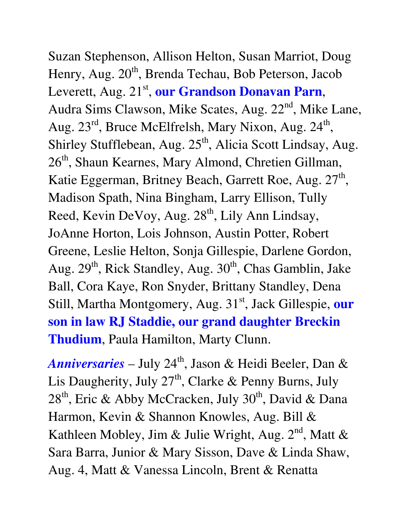Suzan Stephenson, Allison Helton, Susan Marriot, Doug Henry, Aug. 20<sup>th</sup>, Brenda Techau, Bob Peterson, Jacob Leverett, Aug. 21<sup>st</sup>, our Grandson Donavan Parn, Audra Sims Clawson, Mike Scates, Aug. 22<sup>nd</sup>, Mike Lane, Aug. 23<sup>rd</sup>, Bruce McElfrelsh, Mary Nixon, Aug. 24<sup>th</sup>, Shirley Stufflebean, Aug. 25<sup>th</sup>, Alicia Scott Lindsay, Aug. 26<sup>th</sup>, Shaun Kearnes, Mary Almond, Chretien Gillman, Katie Eggerman, Britney Beach, Garrett Roe, Aug. 27<sup>th</sup>, Madison Spath, Nina Bingham, Larry Ellison, Tully Reed, Kevin DeVoy, Aug. 28<sup>th</sup>, Lily Ann Lindsay, JoAnne Horton, Lois Johnson, Austin Potter, Robert Greene, Leslie Helton, Sonja Gillespie, Darlene Gordon, Aug.  $29<sup>th</sup>$ , Rick Standley, Aug.  $30<sup>th</sup>$ , Chas Gamblin, Jake Ball, Cora Kaye, Ron Snyder, Brittany Standley, Dena Still, Martha Montgomery, Aug. 31<sup>st</sup>, Jack Gillespie, our **son in law RJ Staddie, our grand daughter Breckin Thudium**, Paula Hamilton, Marty Clunn.

*Anniversaries* – July 24<sup>th</sup>, Jason & Heidi Beeler, Dan & Lis Daugherity, July  $27<sup>th</sup>$ , Clarke & Penny Burns, July  $28<sup>th</sup>$ , Eric & Abby McCracken, July  $30<sup>th</sup>$ , David & Dana Harmon, Kevin & Shannon Knowles, Aug. Bill & Kathleen Mobley, Jim & Julie Wright, Aug.  $2<sup>nd</sup>$ , Matt & Sara Barra, Junior & Mary Sisson, Dave & Linda Shaw, Aug. 4, Matt & Vanessa Lincoln, Brent & Renatta